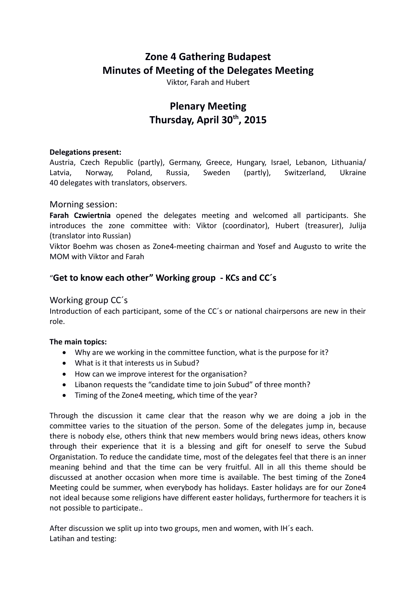# **Zone 4 Gathering Budapest Minutes of Meeting of the Delegates Meeting**

Viktor, Farah and Hubert

# **Plenary Meeting Thursday, April 30th, 2015**

#### **Delegations present:**

Austria, Czech Republic (partly), Germany, Greece, Hungary, Israel, Lebanon, Lithuania/ Latvia, Norway, Poland, Russia, Sweden (partly), Switzerland, Ukraine 40 delegates with translators, observers.

## Morning session:

**Farah Czwiertnia** opened the delegates meeting and welcomed all participants. She introduces the zone committee with: Viktor (coordinator), Hubert (treasurer), Julija (translator into Russian)

Viktor Boehm was chosen as Zone4-meeting chairman and Yosef and Augusto to write the MOM with Viktor and Farah

## "**Get to know each other" Working group - KCs and CC´s**

## Working group CC´s

Introduction of each participant, some of the CC´s or national chairpersons are new in their role.

## **The main topics:**

- Why are we working in the committee function, what is the purpose for it?
- What is it that interests us in Subud?
- How can we improve interest for the organisation?
- Libanon requests the "candidate time to join Subud" of three month?
- Timing of the Zone4 meeting, which time of the year?

Through the discussion it came clear that the reason why we are doing a job in the committee varies to the situation of the person. Some of the delegates jump in, because there is nobody else, others think that new members would bring news ideas, others know through their experience that it is a blessing and gift for oneself to serve the Subud Organistation. To reduce the candidate time, most of the delegates feel that there is an inner meaning behind and that the time can be very fruitful. All in all this theme should be discussed at another occasion when more time is available. The best timing of the Zone4 Meeting could be summer, when everybody has holidays. Easter holidays are for our Zone4 not ideal because some religions have different easter holidays, furthermore for teachers it is not possible to participate..

After discussion we split up into two groups, men and women, with IH´s each. Latihan and testing: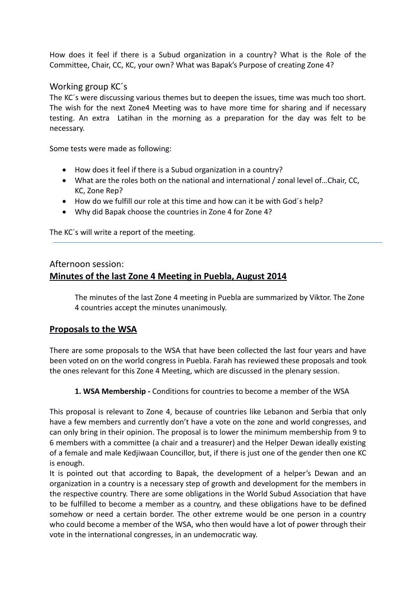How does it feel if there is a Subud organization in a country? What is the Role of the Committee, Chair, CC, KC, your own? What was Bapak's Purpose of creating Zone 4?

## Working group KC´s

The KC´s were discussing various themes but to deepen the issues, time was much too short. The wish for the next Zone4 Meeting was to have more time for sharing and if necessary testing. An extra Latihan in the morning as a preparation for the day was felt to be necessary.

Some tests were made as following:

- How does it feel if there is a Subud organization in a country?
- What are the roles both on the national and international / zonal level of…Chair, CC, KC, Zone Rep?
- How do we fulfill our role at this time and how can it be with God´s help?
- Why did Bapak choose the countries in Zone 4 for Zone 4?

The KC´s will write a report of the meeting.

## Afternoon session: **Minutes of the last Zone 4 Meeting in Puebla, August 2014**

The minutes of the last Zone 4 meeting in Puebla are summarized by Viktor. The Zone 4 countries accept the minutes unanimously.

## **Proposals to the WSA**

There are some proposals to the WSA that have been collected the last four years and have been voted on on the world congress in Puebla. Farah has reviewed these proposals and took the ones relevant for this Zone 4 Meeting, which are discussed in the plenary session.

## **1. WSA Membership -** Conditions for countries to become a member of the WSA

This proposal is relevant to Zone 4, because of countries like Lebanon and Serbia that only have a few members and currently don't have a vote on the zone and world congresses, and can only bring in their opinion. The proposal is to lower the minimum membership from 9 to 6 members with a committee (a chair and a treasurer) and the Helper Dewan ideally existing of a female and male Kedjiwaan Councillor, but, if there is just one of the gender then one KC is enough.

It is pointed out that according to Bapak, the development of a helper's Dewan and an organization in a country is a necessary step of growth and development for the members in the respective country. There are some obligations in the World Subud Association that have to be fulfilled to become a member as a country, and these obligations have to be defined somehow or need a certain border. The other extreme would be one person in a country who could become a member of the WSA, who then would have a lot of power through their vote in the international congresses, in an undemocratic way.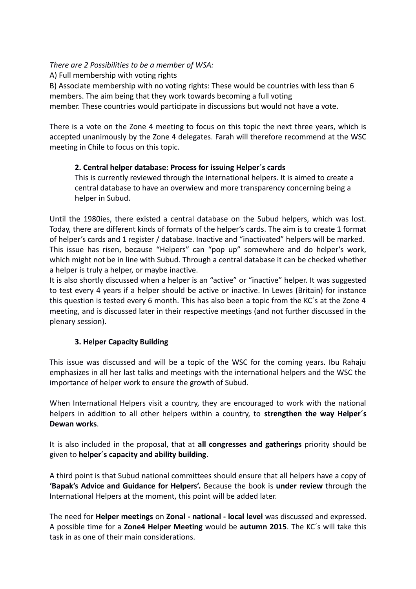## *There are 2 Possibilities to be a member of WSA:*

A) Full membership with voting rights

B) Associate membership with no voting rights: These would be countries with less than 6 members. The aim being that they work towards becoming a full voting

member. These countries would participate in discussions but would not have a vote.

There is a vote on the Zone 4 meeting to focus on this topic the next three years, which is accepted unanimously by the Zone 4 delegates. Farah will therefore recommend at the WSC meeting in Chile to focus on this topic.

## **2. Central helper database: Process for issuing Helper´s cards**

This is currently reviewed through the international helpers. It is aimed to create a central database to have an overwiew and more transparency concerning being a helper in Subud.

Until the 1980ies, there existed a central database on the Subud helpers, which was lost. Today, there are different kinds of formats of the helper's cards. The aim is to create 1 format of helper's cards and 1 register / database. Inactive and "inactivated" helpers will be marked. This issue has risen, because "Helpers" can "pop up" somewhere and do helper's work, which might not be in line with Subud. Through a central database it can be checked whether a helper is truly a helper, or maybe inactive.

It is also shortly discussed when a helper is an "active" or "inactive" helper. It was suggested to test every 4 years if a helper should be active or inactive. In Lewes (Britain) for instance this question is tested every 6 month. This has also been a topic from the KC´s at the Zone 4 meeting, and is discussed later in their respective meetings (and not further discussed in the plenary session).

## **3. Helper Capacity Building**

This issue was discussed and will be a topic of the WSC for the coming years. Ibu Rahaju emphasizes in all her last talks and meetings with the international helpers and the WSC the importance of helper work to ensure the growth of Subud.

When International Helpers visit a country, they are encouraged to work with the national helpers in addition to all other helpers within a country, to **strengthen the way Helper´s Dewan works**.

It is also included in the proposal, that at **all congresses and gatherings** priority should be given to **helper´s capacity and ability building**.

A third point is that Subud national committees should ensure that all helpers have a copy of **'Bapak's Advice and Guidance for Helpers'.** Because the book is **under review** through the International Helpers at the moment, this point will be added later.

The need for **Helper meetings** on **Zonal - national - local level** was discussed and expressed. A possible time for a **Zone4 Helper Meeting** would be **autumn 2015**. The KC´s will take this task in as one of their main considerations.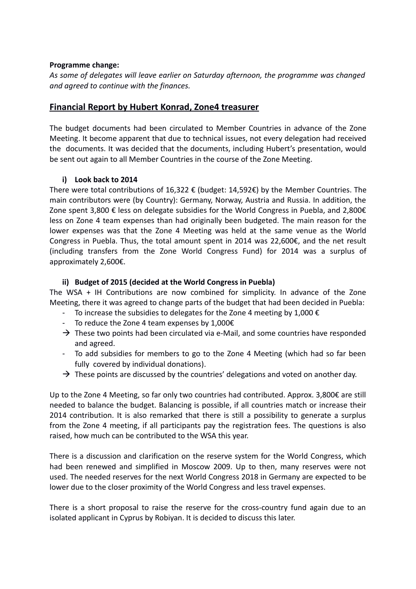#### **Programme change:**

*As some of delegates will leave earlier on Saturday afternoon, the programme was changed and agreed to continue with the finances.*

## **Financial Report by Hubert Konrad, Zone4 treasurer**

The budget documents had been circulated to Member Countries in advance of the Zone Meeting. It become apparent that due to technical issues, not every delegation had received the documents. It was decided that the documents, including Hubert's presentation, would be sent out again to all Member Countries in the course of the Zone Meeting.

## **i) Look back to 2014**

There were total contributions of 16,322  $\epsilon$  (budget: 14,592 $\epsilon$ ) by the Member Countries. The main contributors were (by Country): Germany, Norway, Austria and Russia. In addition, the Zone spent 3,800 € less on delegate subsidies for the World Congress in Puebla, and 2,800€ less on Zone 4 team expenses than had originally been budgeted. The main reason for the lower expenses was that the Zone 4 Meeting was held at the same venue as the World Congress in Puebla. Thus, the total amount spent in 2014 was 22,600 $\epsilon$ , and the net result (including transfers from the Zone World Congress Fund) for 2014 was a surplus of approximately 2,600€.

#### **ii) Budget of 2015 (decided at the World Congress in Puebla)**

The WSA + IH Contributions are now combined for simplicity. In advance of the Zone Meeting, there it was agreed to change parts of the budget that had been decided in Puebla:

- To increase the subsidies to delegates for the Zone 4 meeting by 1,000  $\epsilon$
- To reduce the Zone 4 team expenses by 1,000€
- $\rightarrow$  These two points had been circulated via e-Mail, and some countries have responded and agreed.
- To add subsidies for members to go to the Zone 4 Meeting (which had so far been fully covered by individual donations).
- $\rightarrow$  These points are discussed by the countries' delegations and voted on another day.

Up to the Zone 4 Meeting, so far only two countries had contributed. Approx. 3,800€ are still needed to balance the budget. Balancing is possible, if all countries match or increase their 2014 contribution. It is also remarked that there is still a possibility to generate a surplus from the Zone 4 meeting, if all participants pay the registration fees. The questions is also raised, how much can be contributed to the WSA this year.

There is a discussion and clarification on the reserve system for the World Congress, which had been renewed and simplified in Moscow 2009. Up to then, many reserves were not used. The needed reserves for the next World Congress 2018 in Germany are expected to be lower due to the closer proximity of the World Congress and less travel expenses.

There is a short proposal to raise the reserve for the cross-country fund again due to an isolated applicant in Cyprus by Robiyan. It is decided to discuss this later.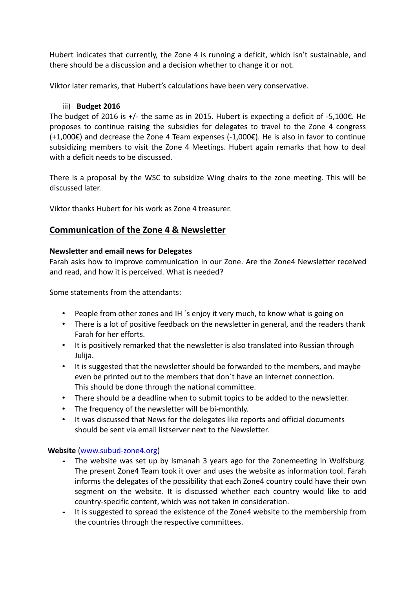Hubert indicates that currently, the Zone 4 is running a deficit, which isn't sustainable, and there should be a discussion and a decision whether to change it or not.

Viktor later remarks, that Hubert's calculations have been very conservative.

## iii) **Budget 2016**

The budget of 2016 is  $+/$ - the same as in 2015. Hubert is expecting a deficit of -5,100 $\epsilon$ . He proposes to continue raising the subsidies for delegates to travel to the Zone 4 congress (+1,000€) and decrease the Zone 4 Team expenses (-1,000€). He is also in favor to continue subsidizing members to visit the Zone 4 Meetings. Hubert again remarks that how to deal with a deficit needs to be discussed.

There is a proposal by the WSC to subsidize Wing chairs to the zone meeting. This will be discussed later.

Viktor thanks Hubert for his work as Zone 4 treasurer.

## **Communication of the Zone 4 & Newsletter**

#### **Newsletter and email news for Delegates**

Farah asks how to improve communication in our Zone. Are the Zone4 Newsletter received and read, and how it is perceived. What is needed?

Some statements from the attendants:

- People from other zones and IH ´s enjoy it very much, to know what is going on
- There is a lot of positive feedback on the newsletter in general, and the readers thank Farah for her efforts.
- It is positively remarked that the newsletter is also translated into Russian through Julija.
- It is suggested that the newsletter should be forwarded to the members, and maybe even be printed out to the members that don´t have an Internet connection. This should be done through the national committee.
- There should be a deadline when to submit topics to be added to the newsletter.
- The frequency of the newsletter will be bi-monthly.
- It was discussed that News for the delegates like reports and official documents should be sent via email listserver next to the Newsletter.

## **Website** [\(www.subud-zone4.org\)](http://www.subud-zone4.org/)

- **-** The website was set up by Ismanah 3 years ago for the Zonemeeting in Wolfsburg. The present Zone4 Team took it over and uses the website as information tool. Farah informs the delegates of the possibility that each Zone4 country could have their own segment on the website. It is discussed whether each country would like to add country-specific content, which was not taken in consideration.
- **-** It is suggested to spread the existence of the Zone4 website to the membership from the countries through the respective committees.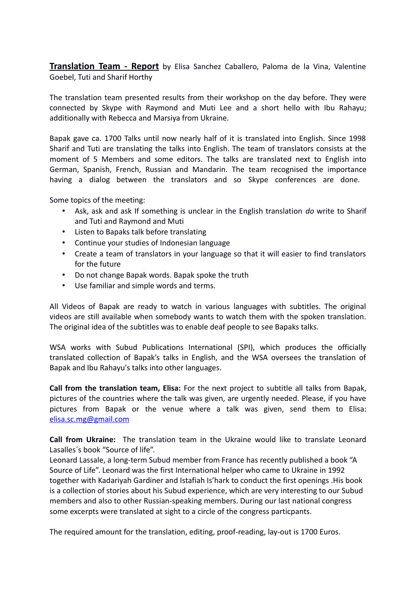**Translation Team - Report** by Elisa Sanchez Caballero, Paloma de la Vina, Valentine Goebel, Tuti and Sharif Horthy

The translation team presented results from their workshop on the day before. They were connected by Skype with Raymond and Muti Lee and a short hello with Ibu Rahayu; additionally with Rebecca and Marsiya from Ukraine.

Bapak gave ca. 1700 Talks until now nearly half of it is translated into English. Since 1998 Sharif and Tuti are translating the talks into English. The team of translators consists at the moment of 5 Members and some editors. The talks are translated next to English into German, Spanish, French, Russian and Mandarin. The team recognised the importance having a dialog between the translators and so Skype conferences are done.

Some topics of the meeting:

- Ask, ask and ask If something is unclear in the English translation *do* write to Sharif and Tuti and Raymond and Muti
- Listen to Bapaks talk before translating
- Continue your studies of Indonesian language
- Create a team of translators in your language so that it will easier to find translators for the future
- Do not change Bapak words. Bapak spoke the truth
- Use familiar and simple words and terms.

All Videos of Bapak are ready to watch in various languages with subtitles. The original videos are still available when somebody wants to watch them with the spoken translation. The original idea of the subtitles was to enable deaf people to see Bapaks talks.

WSA works with Subud Publications International (SPI), which produces the officially translated collection of Bapak's talks in English, and the WSA oversees the translation of Bapak and Ibu Rahayu's talks into other languages.

**Call from the translation team, Elisa:** For the next project to subtitle all talks from Bapak, pictures of the countries where the talk was given, are urgently needed. Please, if you have pictures from Bapak or the venue where a talk was given, send them to Elisa: [elisa.sc.mg@gmail.com](mailto:elisa.sc.mg@gmail.com)

**Call from Ukraine:** The translation team in the Ukraine would like to translate Leonard Lasalles´s book "Source of life".

Leonard Lassale, a long-term Subud member from France has recently published a book "A Source of Life". Leonard was the first International helper who came to Ukraine in 1992 together with Kadariyah Gardiner and Istafiah Is'hark to conduct the first openings .His book is a collection of stories about his Subud experience, which are very interesting to our Subud members and also to other Russian-speaking members. During our last national congress some excerpts were translated at sight to a circle of the congress particpants.

The required amount for the translation, editing, proof-reading, lay-out is 1700 Euros.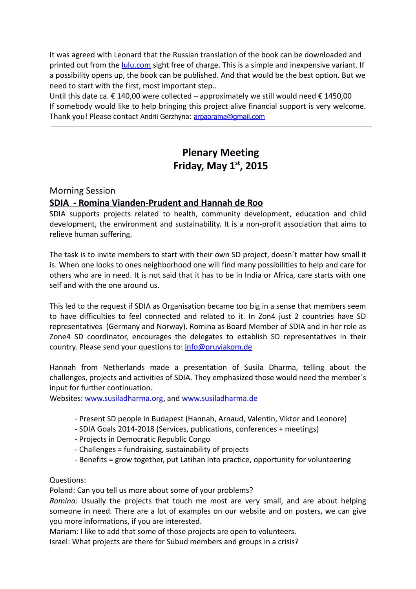It was agreed with Leonard that the Russian translation of the book can be downloaded and printed out from the *lulu.com* sight free of charge. This is a simple and inexpensive variant. If a possibility opens up, the book can be published. And that would be the best option. But we need to start with the first, most important step..

Until this date ca. € 140,00 were collected – approximately we still would need € 1450,00 If somebody would like to help bringing this project alive financial support is very welcome. Thank you! Please contact Andrii Gerzhyna: [arpaorama@gmail.com](mailto:arpaorama@gmail.com)

# **Plenary Meeting Friday, May 1st, 2015**

## Morning Session

## **SDIA - Romina Vianden-Prudent and Hannah de Roo**

SDIA supports projects related to health, community development, education and child development, the environment and sustainability. It is a non-profit association that aims to relieve human suffering.

The task is to invite members to start with their own SD project, doesn´t matter how small it is. When one looks to ones neighborhood one will find many possibilities to help and care for others who are in need. It is not said that it has to be in India or Africa, care starts with one self and with the one around us.

This led to the request if SDIA as Organisation became too big in a sense that members seem to have difficulties to feel connected and related to it. In Zon4 just 2 countries have SD representatives (Germany and Norway). Romina as Board Member of SDIA and in her role as Zone4 SD coordinator, encourages the delegates to establish SD representatives in their country. Please send your questions to: [info@pruviakom.de](mailto:info@pruviakom.de)

Hannah from Netherlands made a presentation of Susila Dharma, telling about the challenges, projects and activities of SDIA. They emphasized those would need the member´s input for further continuation.

Websites: [www.susiladharma.org,](http://www.susiladharma.org/) and [www. susiladharma.de](http://www.susiladharma.de/)

- Present SD people in Budapest (Hannah, Arnaud, Valentin, Viktor and Leonore)
- SDIA Goals 2014-2018 (Services, publications, conferences + meetings)
- Projects in Democratic Republic Congo
- Challenges = fundraising, sustainability of projects
- Benefits = grow together, put Latihan into practice, opportunity for volunteering

## Questions:

Poland: Can you tell us more about some of your problems?

*Romina:* Usually the projects that touch me most are very small, and are about helping someone in need. There are a lot of examples on our website and on posters, we can give you more informations, if you are interested.

Mariam: I like to add that some of those projects are open to volunteers.

Israel: What projects are there for Subud members and groups in a crisis?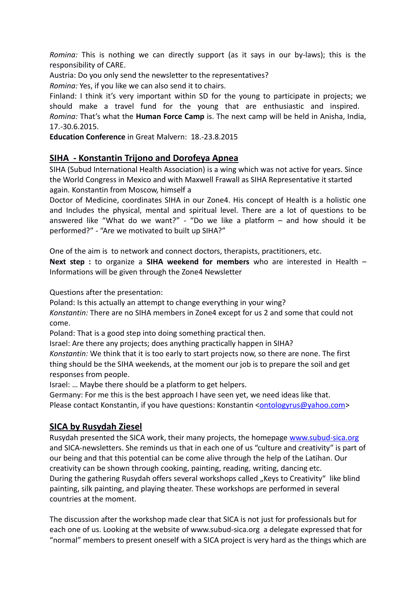*Romina:* This is nothing we can directly support (as it says in our by-laws); this is the responsibility of CARE.

Austria: Do you only send the newsletter to the representatives?

*Romina:* Yes, if you like we can also send it to chairs.

Finland: I think it's very important within SD for the young to participate in projects; we should make a travel fund for the young that are enthusiastic and inspired. *Romina:* That's what the **Human Force Camp** is. The next camp will be held in Anisha, India, 17.-30.6.2015.

**Education Conference** in Great Malvern: 18.-23.8.2015

## **SIHA - Konstantin Trijono and Dorofeya Apnea**

SIHA (Subud International Health Association) is a wing which was not active for years. Since the World Congress in Mexico and with Maxwell Frawall as SIHA Representative it started again. Konstantin from Moscow, himself a

Doctor of Medicine, coordinates SIHA in our Zone4. His concept of Health is a holistic one and Includes the physical, mental and spiritual level. There are a lot of questions to be answered like "What do we want?" - "Do we like a platform – and how should it be performed?" - "Are we motivated to built up SIHA?"

One of the aim is to network and connect doctors, therapists, practitioners, etc.

**Next step :** to organize a **SIHA weekend for members** who are interested in Health – Informations will be given through the Zone4 Newsletter

Questions after the presentation:

Poland: Is this actually an attempt to change everything in your wing?

*Konstantin:* There are no SIHA members in Zone4 except for us 2 and some that could not come.

Poland: That is a good step into doing something practical then.

Israel: Are there any projects; does anything practically happen in SIHA?

*Konstantin:* We think that it is too early to start projects now, so there are none. The first thing should be the SIHA weekends, at the moment our job is to prepare the soil and get responses from people.

Israel: … Maybe there should be a platform to get helpers.

Germany: For me this is the best approach I have seen yet, we need ideas like that. Please contact Konstantin, if you have questions: Konstantin [<ontologyrus@yahoo.com>](mailto:ontologyrus@yahoo.com)

## **SICA by Rusydah Ziesel**

Rusydah presented the SICA work, their many projects, the homepage [www.subud-sica.org](http://www.subud-sica.org/) and SICA-newsletters. She reminds us that in each one of us "culture and creativity" is part of our being and that this potential can be come alive through the help of the Latihan. Our creativity can be shown through cooking, painting, reading, writing, dancing etc. During the gathering Rusydah offers several workshops called "Keys to Creativity" like blind painting, silk painting, and playing theater. These workshops are performed in several countries at the moment.

The discussion after the workshop made clear that SICA is not just for professionals but for each one of us. Looking at the website of www.subud-sica.org a delegate expressed that for "normal" members to present oneself with a SICA project is very hard as the things which are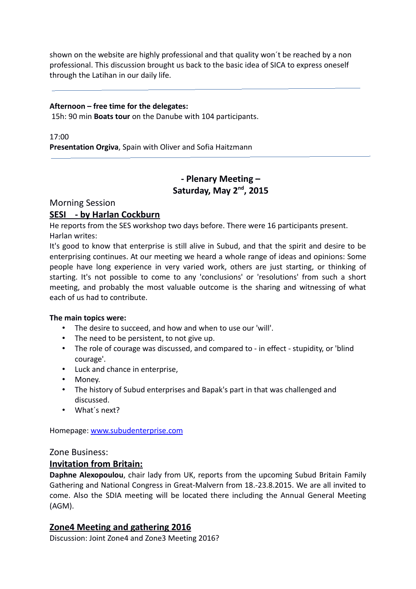shown on the website are highly professional and that quality won´t be reached by a non professional. This discussion brought us back to the basic idea of SICA to express oneself through the Latihan in our daily life.

#### **Afternoon – free time for the delegates:**

15h: 90 min **Boats tour** on the Danube with 104 participants.

17:00 **Presentation Orgiva**, Spain with Oliver and Sofia Haitzmann

## **- Plenary Meeting – Saturday, May 2nd, 2015**

Morning Session

## **SESI - by Harlan Cockburn**

He reports from the SES workshop two days before. There were 16 participants present. Harlan writes:

It's good to know that enterprise is still alive in Subud, and that the spirit and desire to be enterprising continues. At our meeting we heard a whole range of ideas and opinions: Some people have long experience in very varied work, others are just starting, or thinking of starting. It's not possible to come to any 'conclusions' or 'resolutions' from such a short meeting, and probably the most valuable outcome is the sharing and witnessing of what each of us had to contribute.

## **The main topics were:**

- The desire to succeed, and how and when to use our 'will'.
- The need to be persistent, to not give up.
- The role of courage was discussed, and compared to in effect stupidity, or 'blind courage'.
- Luck and chance in enterprise,
- Money.
- The history of Subud enterprises and Bapak's part in that was challenged and discussed.
- What´s next?

Homepage: [www.subudenterprise.com](http://www.subudenterprise.com/)

Zone Business:

## **Invitation from Britain:**

**Daphne Alexopoulou**, chair lady from UK, reports from the upcoming Subud Britain Family Gathering and National Congress in Great-Malvern from 18.-23.8.2015. We are all invited to come. Also the SDIA meeting will be located there including the Annual General Meeting (AGM).

## **Zone4 Meeting and gathering 2016**

Discussion: Joint Zone4 and Zone3 Meeting 2016?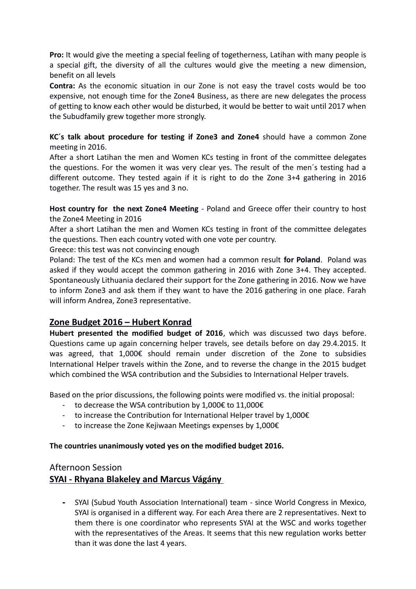**Pro:** It would give the meeting a special feeling of togetherness, Latihan with many people is a special gift, the diversity of all the cultures would give the meeting a new dimension, benefit on all levels

**Contra:** As the economic situation in our Zone is not easy the travel costs would be too expensive, not enough time for the Zone4 Business, as there are new delegates the process of getting to know each other would be disturbed, it would be better to wait until 2017 when the Subudfamily grew together more strongly.

## **KC´s talk about procedure for testing if Zone3 and Zone4** should have a common Zone meeting in 2016.

After a short Latihan the men and Women KCs testing in front of the committee delegates the questions. For the women it was very clear yes. The result of the men´s testing had a different outcome. They tested again if it is right to do the Zone 3+4 gathering in 2016 together. The result was 15 yes and 3 no.

**Host country for the next Zone4 Meeting** - Poland and Greece offer their country to host the Zone4 Meeting in 2016

After a short Latihan the men and Women KCs testing in front of the committee delegates the questions. Then each country voted with one vote per country.

Greece: this test was not convincing enough

Poland: The test of the KCs men and women had a common result **for Poland**. Poland was asked if they would accept the common gathering in 2016 with Zone 3+4. They accepted. Spontaneously Lithuania declared their support for the Zone gathering in 2016. Now we have to inform Zone3 and ask them if they want to have the 2016 gathering in one place. Farah will inform Andrea, Zone3 representative.

## **Zone Budget 2016 – Hubert Konrad**

**Hubert presented the modified budget of 2016**, which was discussed two days before. Questions came up again concerning helper travels, see details before on day 29.4.2015. It was agreed, that 1,000€ should remain under discretion of the Zone to subsidies International Helper travels within the Zone, and to reverse the change in the 2015 budget which combined the WSA contribution and the Subsidies to International Helper travels.

Based on the prior discussions, the following points were modified vs. the initial proposal:

- to decrease the WSA contribution by 1,000€ to 11,000€
- to increase the Contribution for International Helper travel by  $1,000 \epsilon$
- to increase the Zone Kejiwaan Meetings expenses by 1,000€

## **The countries unanimously voted yes on the modified budget 2016.**

## Afternoon Session

## **SYAI - Rhyana Blakeley and Marcus Vágány**

**-** SYAI (Subud Youth Association International) team - since World Congress in Mexico, SYAI is organised in a different way. For each Area there are 2 representatives. Next to them there is one coordinator who represents SYAI at the WSC and works together with the representatives of the Areas. It seems that this new regulation works better than it was done the last 4 years.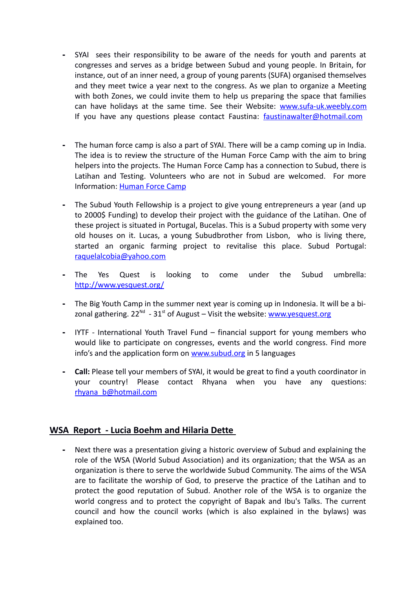- **-** SYAI sees their responsibility to be aware of the needs for youth and parents at congresses and serves as a bridge between Subud and young people. In Britain, for instance, out of an inner need, a group of young parents (SUFA) organised themselves and they meet twice a year next to the congress. As we plan to organize a Meeting with both Zones, we could invite them to help us preparing the space that families can have holidays at the same time. See their Website: [www.sufa-uk.weebly.com](http://www.sufa-uk.weebly.com/) If you have any questions please contact Faustina: [faustinawalter@hotmail.com](mailto:faustinawalter@hotmail.com)
- **-** The human force camp is also a part of SYAI. There will be a camp coming up in India. The idea is to review the structure of the Human Force Camp with the aim to bring helpers into the projects. The Human Force Camp has a connection to Subud, there is Latihan and Testing. Volunteers who are not in Subud are welcomed. For more Information: [Human Force Camp](http://www.susiladharma.org/?page_id=647)
- **-** The Subud Youth Fellowship is a project to give young entrepreneurs a year (and up to 2000\$ Funding) to develop their project with the guidance of the Latihan. One of these project is situated in Portugal, Bucelas. This is a Subud property with some very old houses on it. Lucas, a young Subudbrother from Lisbon, who is living there, started an organic farming project to revitalise this place. Subud Portugal: [raquelalcobia@yahoo.com](mailto:raquelalcobia@yahoo.com)
- **-** The Yes Quest is looking to come under the Subud umbrella: <http://www.yesquest.org/>
- **-** The Big Youth Camp in the summer next year is coming up in Indonesia. It will be a bizonal gathering.  $22^{Nd}$  -  $31^{st}$  of August – Visit the website: [www.yesquest.org](http://www.yesquest.org/)
- **-** IYTF International Youth Travel Fund financial support for young members who would like to participate on congresses, events and the world congress. Find more info's and the application form on [www.subud.org](http://www.subud.org/) in 5 languages
- **- Call:** Please tell your members of SYAI, it would be great to find a youth coordinator in your country! Please contact Rhyana when you have any questions: [rhyana\\_b@hotmail.com](mailto:rhyana_b@hotmail.com)

## **WSA Report - Lucia Boehm and Hilaria Dette**

**-** Next there was a presentation giving a historic overview of Subud and explaining the role of the WSA (World Subud Association) and its organization; that the WSA as an organization is there to serve the worldwide Subud Community. The aims of the WSA are to facilitate the worship of God, to preserve the practice of the Latihan and to protect the good reputation of Subud. Another role of the WSA is to organize the world congress and to protect the copyright of Bapak and Ibu's Talks. The current council and how the council works (which is also explained in the bylaws) was explained too.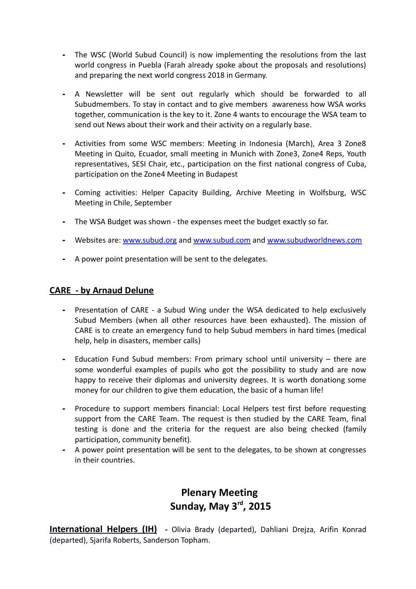- **-** The WSC (World Subud Council) is now implementing the resolutions from the last world congress in Puebla (Farah already spoke about the proposals and resolutions) and preparing the next world congress 2018 in Germany.
- **-** A Newsletter will be sent out regularly which should be forwarded to all Subudmembers. To stay in contact and to give members awareness how WSA works together, communication is the key to it. Zone 4 wants to encourage the WSA team to send out News about their work and their activity on a regularly base.
- **-** Activities from some WSC members: Meeting in Indonesia (March), Area 3 Zone8 Meeting in Quito, Ecuador, small meeting in Munich with Zone3, Zone4 Reps, Youth representatives, SESI Chair, etc., participation on the first national congress of Cuba, participation on the Zone4 Meeting in Budapest
- **-** Coming activities: Helper Capacity Building, Archive Meeting in Wolfsburg, WSC Meeting in Chile, September
- **-** The WSA Budget was shown the expenses meet the budget exactly so far.
- **-** Websites are: [www.subud.org](http://www.subud.org/) and [www.subud.com](http://www.subud.com/) and [www.subudworldnews.com](http://www.subudworldnews.com/)
- **-** A power point presentation will be sent to the delegates.

## **CARE - by Arnaud Delune**

- **-** Presentation of CARE a Subud Wing under the WSA dedicated to help exclusively Subud Members (when all other resources have been exhausted). The mission of CARE is to create an emergency fund to help Subud members in hard times (medical help, help in disasters, member calls)
- **-** Education Fund Subud members: From primary school until university there are some wonderful examples of pupils who got the possibility to study and are now happy to receive their diplomas and university degrees. It is worth donationg some money for our children to give them education, the basic of a human life!
- **-** Procedure to support members financial: Local Helpers test first before requesting support from the CARE Team. The request is then studied by the CARE Team, final testing is done and the criteria for the request are also being checked (family participation, community benefit).
- **-** A power point presentation will be sent to the delegates, to be shown at congresses in their countries.

# **Plenary Meeting Sunday, May 3rd, 2015**

**International Helpers (IH) -** Olivia Brady (departed), Dahliani Drejza, Arifin Konrad (departed), Sjarifa Roberts, Sanderson Topham.